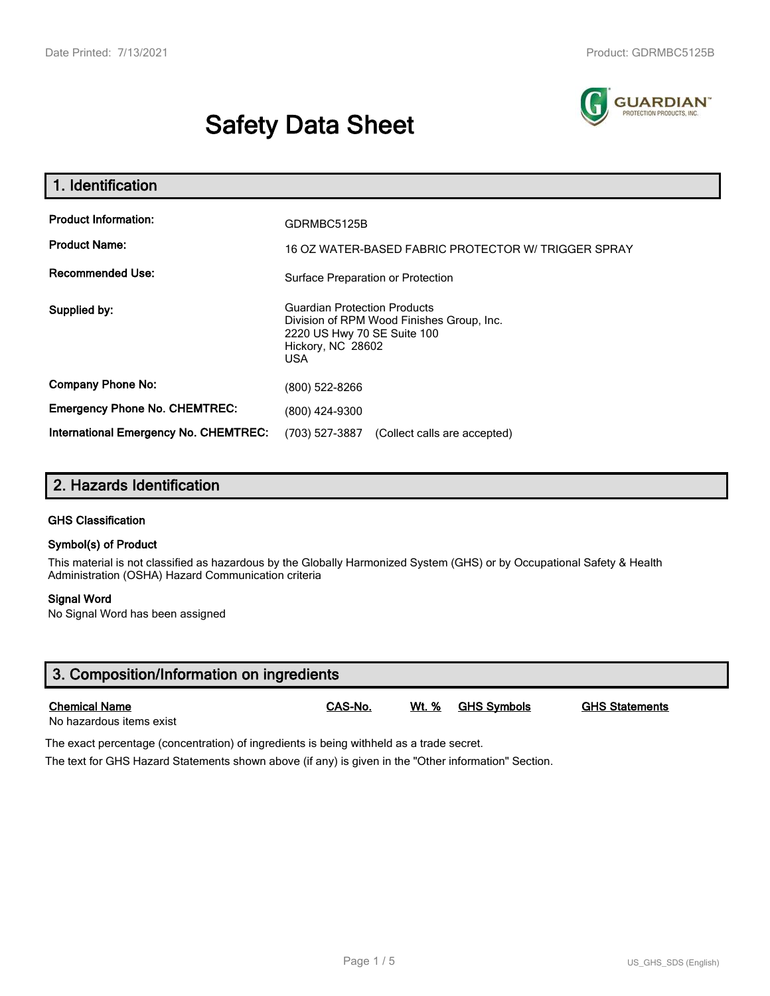# **Safety Data Sheet**



| 1. Identification                                                              |                                                                                                                                                                           |  |
|--------------------------------------------------------------------------------|---------------------------------------------------------------------------------------------------------------------------------------------------------------------------|--|
| <b>Product Information:</b><br><b>Product Name:</b><br><b>Recommended Use:</b> | GDRMBC5125B<br>16 OZ WATER-BASED FABRIC PROTECTOR W/ TRIGGER SPRAY                                                                                                        |  |
| Supplied by:                                                                   | Surface Preparation or Protection<br><b>Guardian Protection Products</b><br>Division of RPM Wood Finishes Group, Inc.<br>2220 US Hwy 70 SE Suite 100<br>Hickory, NC 28602 |  |
| <b>Company Phone No:</b>                                                       | <b>USA</b><br>(800) 522-8266                                                                                                                                              |  |
| <b>Emergency Phone No. CHEMTREC:</b>                                           | (800) 424-9300                                                                                                                                                            |  |
| <b>International Emergency No. CHEMTREC:</b>                                   | (703) 527-3887<br>(Collect calls are accepted)                                                                                                                            |  |

## **2. Hazards Identification**

#### **GHS Classification**

#### **Symbol(s) of Product**

This material is not classified as hazardous by the Globally Harmonized System (GHS) or by Occupational Safety & Health Administration (OSHA) Hazard Communication criteria

#### **Signal Word**

No Signal Word has been assigned

| 3. Composition/Information on ingredients        |         |       |             |                       |  |
|--------------------------------------------------|---------|-------|-------------|-----------------------|--|
| <b>Chemical Name</b><br>No hazardous items exist | CAS-No. | Wt. % | GHS Svmbols | <b>GHS Statements</b> |  |

The exact percentage (concentration) of ingredients is being withheld as a trade secret.

The text for GHS Hazard Statements shown above (if any) is given in the "Other information" Section.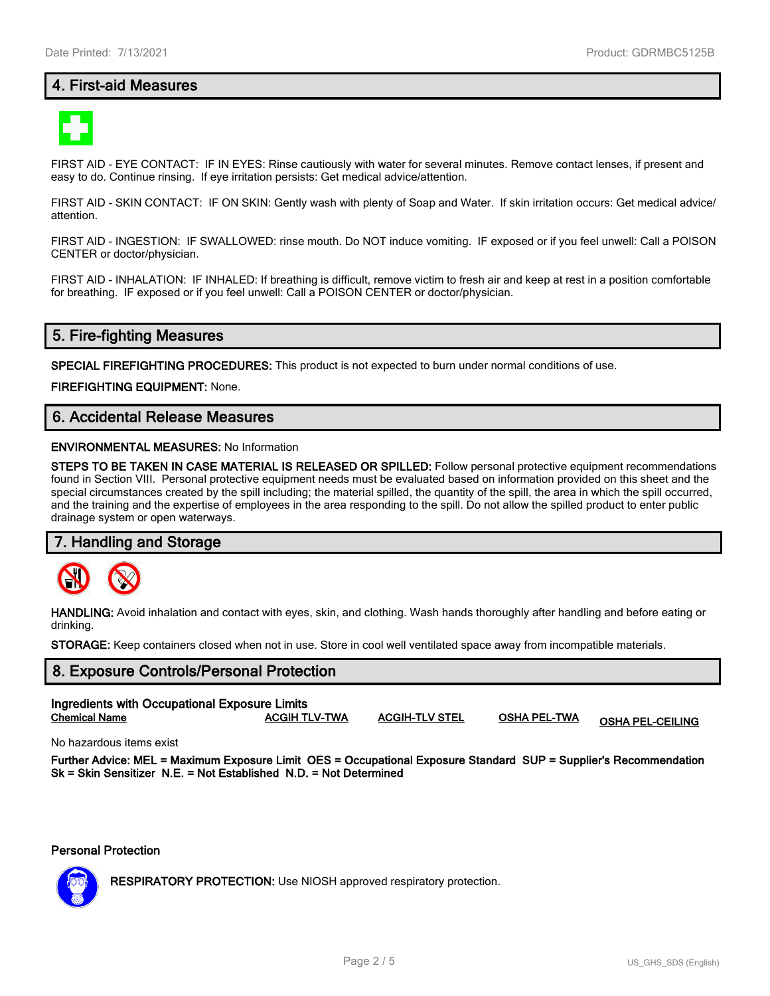## **4. First-aid Measures**



FIRST AID - EYE CONTACT: IF IN EYES: Rinse cautiously with water for several minutes. Remove contact lenses, if present and easy to do. Continue rinsing. If eye irritation persists: Get medical advice/attention.

FIRST AID - SKIN CONTACT: IF ON SKIN: Gently wash with plenty of Soap and Water. If skin irritation occurs: Get medical advice/ attention.

FIRST AID - INGESTION: IF SWALLOWED: rinse mouth. Do NOT induce vomiting. IF exposed or if you feel unwell: Call a POISON CENTER or doctor/physician.

FIRST AID - INHALATION: IF INHALED: If breathing is difficult, remove victim to fresh air and keep at rest in a position comfortable for breathing. IF exposed or if you feel unwell: Call a POISON CENTER or doctor/physician.

## **5. Fire-fighting Measures**

**SPECIAL FIREFIGHTING PROCEDURES:** This product is not expected to burn under normal conditions of use.

**FIREFIGHTING EQUIPMENT:** None.

## **6. Accidental Release Measures**

#### **ENVIRONMENTAL MEASURES:** No Information

**STEPS TO BE TAKEN IN CASE MATERIAL IS RELEASED OR SPILLED:** Follow personal protective equipment recommendations found in Section VIII. Personal protective equipment needs must be evaluated based on information provided on this sheet and the special circumstances created by the spill including; the material spilled, the quantity of the spill, the area in which the spill occurred, and the training and the expertise of employees in the area responding to the spill. Do not allow the spilled product to enter public drainage system or open waterways.

#### **7. Handling and Storage**



**HANDLING:** Avoid inhalation and contact with eyes, skin, and clothing. Wash hands thoroughly after handling and before eating or drinking.

**STORAGE:** Keep containers closed when not in use. Store in cool well ventilated space away from incompatible materials.

## **8. Exposure Controls/Personal Protection Ingredients with Occupational Exposure Limits**

**Chemical Name ACGIH TLV-TWA ACGIH-TLV STEL OSHA PEL-TWA OSHA PEL-CEILING**

No hazardous items exist

**Further Advice: MEL = Maximum Exposure Limit OES = Occupational Exposure Standard SUP = Supplier's Recommendation Sk = Skin Sensitizer N.E. = Not Established N.D. = Not Determined**

**Personal Protection**



**RESPIRATORY PROTECTION:** Use NIOSH approved respiratory protection.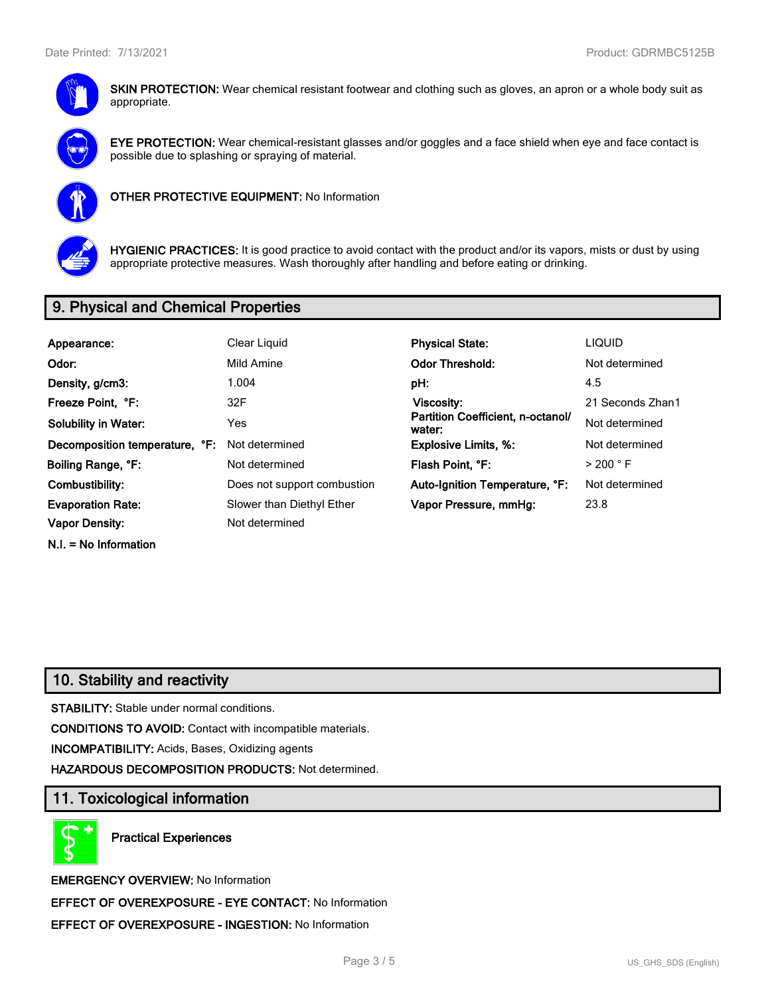

**SKIN PROTECTION:** Wear chemical resistant footwear and clothing such as gloves, an apron or a whole body suit as appropriate.



**EYE PROTECTION:** Wear chemical-resistant glasses and/or goggles and a face shield when eye and face contact is possible due to splashing or spraying of material.



**OTHER PROTECTIVE EQUIPMENT:** No Information



**HYGIENIC PRACTICES:** It is good practice to avoid contact with the product and/or its vapors, mists or dust by using appropriate protective measures. Wash thoroughly after handling and before eating or drinking.

## **9. Physical and Chemical Properties**

| Appearance:                    | Clear Liquid                | <b>Physical State:</b>                      | <b>LIQUID</b>        |
|--------------------------------|-----------------------------|---------------------------------------------|----------------------|
| Odor:                          | Mild Amine                  | <b>Odor Threshold:</b>                      | Not determined       |
| Density, g/cm3:                | 1.004                       | pH:                                         | 4.5                  |
| Freeze Point, °F:              | 32F                         | Viscosity:                                  | 21 Seconds Zhan1     |
| <b>Solubility in Water:</b>    | Yes                         | Partition Coefficient, n-octanol/<br>water: | Not determined       |
| Decomposition temperature, °F: | Not determined              | <b>Explosive Limits, %:</b>                 | Not determined       |
| Boiling Range, °F:             | Not determined              | Flash Point, °F:                            | $>$ 200 $^{\circ}$ F |
| Combustibility:                | Does not support combustion | Auto-Ignition Temperature, °F:              | Not determined       |
| <b>Evaporation Rate:</b>       | Slower than Diethyl Ether   | Vapor Pressure, mmHq:                       | 23.8                 |
| Vapor Density:                 | Not determined              |                                             |                      |

**N.I. = No Information**

## **10. Stability and reactivity**

**STABILITY:** Stable under normal conditions.

**CONDITIONS TO AVOID:** Contact with incompatible materials.

**INCOMPATIBILITY:** Acids, Bases, Oxidizing agents

**HAZARDOUS DECOMPOSITION PRODUCTS:** Not determined.

## **11. Toxicological information**

**Practical Experiences**

**EMERGENCY OVERVIEW:** No Information **EFFECT OF OVEREXPOSURE - EYE CONTACT:** No Information **EFFECT OF OVEREXPOSURE - INGESTION:** No Information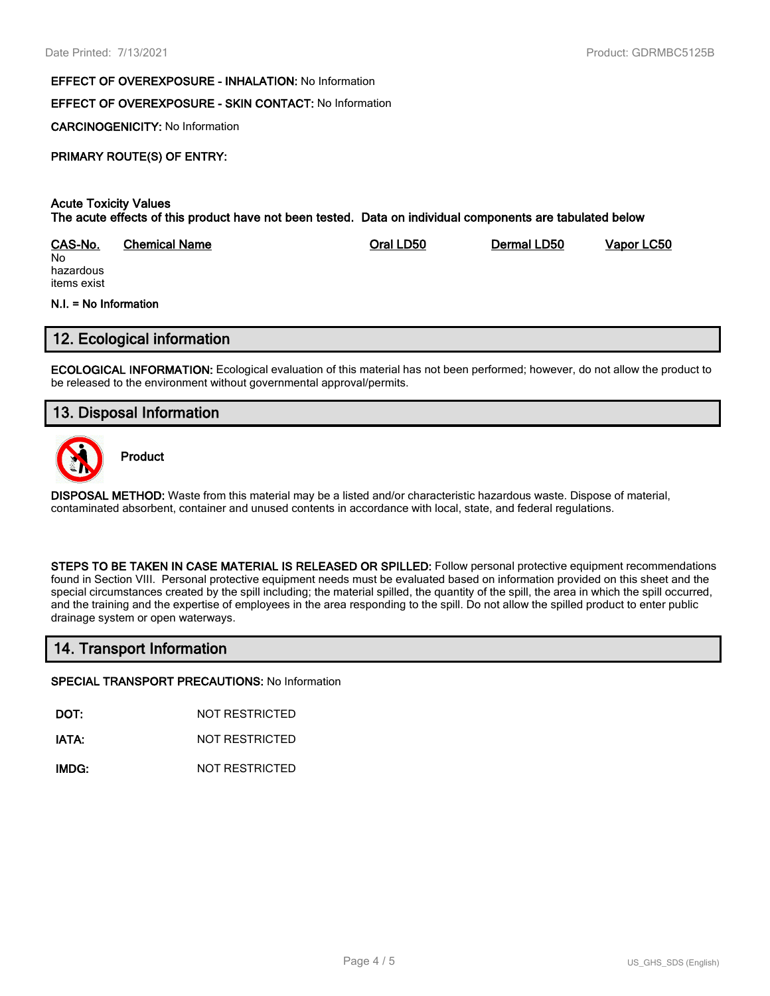#### **EFFECT OF OVEREXPOSURE - INHALATION:** No Information

#### **EFFECT OF OVEREXPOSURE - SKIN CONTACT:** No Information

**CARCINOGENICITY:** No Information

#### **PRIMARY ROUTE(S) OF ENTRY:**

#### **Acute Toxicity Values The acute effects of this product have not been tested. Data on individual components are tabulated below**

| CAS-No.   | Chemical Name | Oral LD50 | Dermal LD50 | Vapor LC50 |
|-----------|---------------|-----------|-------------|------------|
| No        |               |           |             |            |
| hazardous |               |           |             |            |

hazardous items exist

#### **N.I. = No Information**

## **12. Ecological information**

**ECOLOGICAL INFORMATION:** Ecological evaluation of this material has not been performed; however, do not allow the product to be released to the environment without governmental approval/permits.

## **13. Disposal Information**



**Product**

**DISPOSAL METHOD:** Waste from this material may be a listed and/or characteristic hazardous waste. Dispose of material, contaminated absorbent, container and unused contents in accordance with local, state, and federal regulations.

**STEPS TO BE TAKEN IN CASE MATERIAL IS RELEASED OR SPILLED:** Follow personal protective equipment recommendations found in Section VIII. Personal protective equipment needs must be evaluated based on information provided on this sheet and the special circumstances created by the spill including; the material spilled, the quantity of the spill, the area in which the spill occurred, and the training and the expertise of employees in the area responding to the spill. Do not allow the spilled product to enter public drainage system or open waterways.

## **14. Transport Information**

#### **SPECIAL TRANSPORT PRECAUTIONS:** No Information

**DOT:** NOT RESTRICTED

**IATA:** NOT RESTRICTED

**IMDG:** NOT RESTRICTED